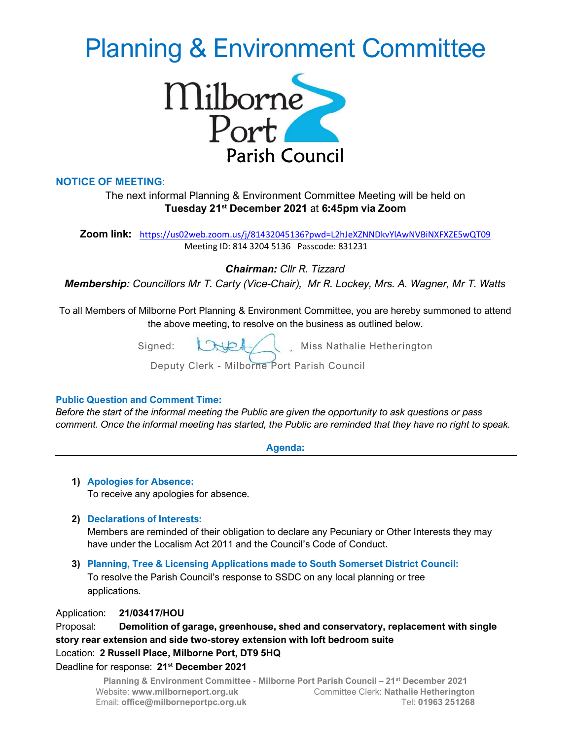# Planning & Environment Committee



## NOTICE OF MEETING:

The next informal Planning & Environment Committee Meeting will be held on Tuesday 21st December 2021 at 6:45pm via Zoom

Zoom link: https://us02web.zoom.us/j/81432045136?pwd=L2hJeXZNNDkvYlAwNVBiNXFXZE5wQT09 Meeting ID: 814 3204 5136 Passcode: 831231

Chairman: Cllr R. Tizzard

Membership: Councillors Mr T. Carty (Vice-Chair), Mr R. Lockey, Mrs. A. Wagner, Mr T. Watts

To all Members of Milborne Port Planning & Environment Committee, you are hereby summoned to attend the above meeting, to resolve on the business as outlined below.

Signed:  $\bigcup \bigcup$ , Miss Nathalie Hetherington

Deputy Clerk - Milborne Port Parish Council

#### Public Question and Comment Time:

Before the start of the informal meeting the Public are given the opportunity to ask questions or pass comment. Once the informal meeting has started, the Public are reminded that they have no right to speak.

Agenda:

# 1) Apologies for Absence:

To receive any apologies for absence.

### 2) Declarations of Interests:

Members are reminded of their obligation to declare any Pecuniary or Other Interests they may have under the Localism Act 2011 and the Council's Code of Conduct.

3) Planning, Tree & Licensing Applications made to South Somerset District Council: To resolve the Parish Council's response to SSDC on any local planning or tree applications.

Application: 21/03417/HOU

Proposal: Demolition of garage, greenhouse, shed and conservatory, replacement with single story rear extension and side two-storey extension with loft bedroom suite Location: 2 Russell Place, Milborne Port, DT9 5HQ

#### Deadline for response: 21<sup>st</sup> December 2021

Planning & Environment Committee - Milborne Port Parish Council – 21st December 2021 Website: www.milborneport.org.uk Committee Clerk: Nathalie Hetherington Email: office@milborneportpc.org.uk Tel: 01963 251268